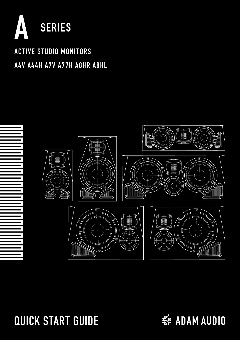

## ACTIVE STUDIO MONITORS A4V A44H A7V A77H A8HR A8HL



## QUICK START GUIDE

**※ ADAM AUDIO**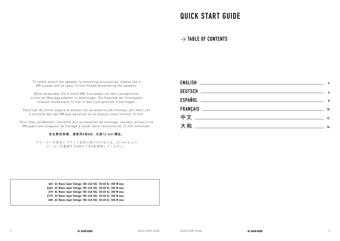## QUICK START GUIDE

#### → **TABLE OF CONTENTS**

To safely attach the speaker to mounting accessories, please use 4 M8 screws wth at least 12 mm thread penetrating the speaker.

Bitte verwenden Sie 4 Stück M8-Schrauben um den Lautsprecher sicher an Montagezubehör zu befestigen. Die Gewinde der Schrauben müssen mindestens 12 mm in den Lautsprecher hineinragen.

Para fijar de forma segura al altavoz los ascessorios de montaje, por favor use 4 tornillos del tipo M8 que penetren en el altavoz como mínimo 12 mm.

Pour fixer solidement l'enceinte aux accessoires de montage, veuillez utiliser 4 vis M8 ayant une longueur de filetage à visser dans l'enceinte de 12 mm minimum.

#### 安全悬挂音箱,请使用4枚M8 , 长度12 mm 螺丝。

スピーカーを安全にマウント金具に取り付けるには、12 mm 以上ス ピーカーを貫通するM8ネジを4本使用してください。

|                                                                                                                                                                                                                                            | - 8 |
|--------------------------------------------------------------------------------------------------------------------------------------------------------------------------------------------------------------------------------------------|-----|
|                                                                                                                                                                                                                                            | 10  |
|                                                                                                                                                                                                                                            | 12  |
| 大和<br><u>state and the state of the state of the state of the state of the state of the state of the state of the state of the state of the state of the state of the state of the state of the state of the state of the state of the</u> | 14  |

A4V: AC Mains Input Voltage 100-240 VAC, 50/60 Hz, 300 W max. A44H: AC Mains Input Voltage 100-240 VAC, 50/60 Hz, 300 W max. A7V: AC Mains Input Voltage 100-240 VAC, 50/60 Hz, 300 W max. A77V: AC Mains Input Voltage 100-240 VAC, 50/60 Hz, 500 W max. A8H: AC Mains Input Voltage 100-240 VAC, 50/60 Hz, 500 W max.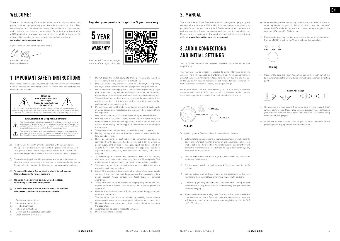### WEI COME!

Thank you for choosing ADAM Audio! We've put a lot of passion into this product and we hope you enjoy your new A Series studio monitors. They were designed and manufactured to very high standards so you can enjoy and creatively use them for many years. To protect your investment, ADAM Audio offers a two year warranty that is extendable to five years. To activate this extended warranty all you have to do is register at: **www.adam-audio.com/my-adam**

Again, thank you and greetings from Berlin,

Christian Hellinge Managing Director

#### **1. IMPORTANT SAFETY INSTRUCTIONS**

Please read the following safety instructions before setting up your system. Keep the instructions for further reference. Please heed the warnings and follow the instructions.



- triangle, is intended to alert the user to the presence of uninsulated "dangerous voltage" within the product's enclosure that may be of sufficient magnitude to constitute a risk of electric shock to persons.
- $\triangle$  The exclamation point within an equilateral triangle is intended to alert the user to the presence of important operating and maintenance [servicing] instructions in the literature accompanying the appliance.
- **To reduce the risk of fire or electric shock, do not expose this loudspeaker to rain or moisture.**
- **No naked flame sources, such as lighted candles, should be placed on the loudspeaker.**
- **To reduce the risk of fire or electric shock, do not open this speaker, no user serviceable parts inside.**
- 1. Read these instructions.
- 2. Keep these instructions.
- 3. Heed all warnings. 4. Follow all instructions.
- 
- 5. Do not use this apparatus near water.
- Clean only with a dry cloth.

**Register your products to get the 5 year warranty!**



- 7. Do not block the metal backplate from air ventilation. Install in accordance with the manufacturer's instructions.
- 8. Do not install near any heat sources such as radiators, heat registers stoves, or other apparatus [including amplifiers] that produce heat.
- 9. Do not defeat the safety purpose of the polarized or grounding type plug. A polarized plug has two blades with one wider than the other. A grounding - type plug has two blades and a third groundingprong. The wide blade or the third prong are provided for your safety. If the provided plug does not fit into your outlet, consult an electrician for replacement of the obsolete outlet.
- 10. Protect the nower cord from being walked on or pinched, particularly at plugs, convenience receptacles, and the point where they exit from the annaratus.
- Only use attachments/accessories specified by the manufacturer.
- 12. Use only with a cart, stand, tripod, bracket, or table specified by the manufacturer, or sold with the apparatus. When a cart is used, use caution when moving the cart/apparatus combination to avoid injury from tip-over.
- 13. The speakers must be positioned on a solid surface or a stand.
- 14. Unplug this apparatus during lightning storms or when unused for long periods of time.
- 15. Refer all servicing to qualified service personnel. Servicing is required when the apparatus has been damaged in any way, such as power-supply cord or plug is damaged, liquid has been spilled or objects have fallen into the apparatus, the apparatus has been exposed to rain or moisture, does not operate normally, or has been dropped.
- 16. To completely disconnect this apparatus from the AC mains, disconnect the power supply cord plug from the AC receptacle. The mains plug of the power supply cord shall remain readily operable.
- 17. The apparatus should be connected to a mains socket outlet with a protective earthing connection.
- 18. Check if the specified voltage matches the voltage of the power supply you use. If this is not the case do not connect the loudspeakers to a power source! Please contact your local dealer or national distributor.
- 19. The apparatus shall not be exposed to dripping or splashing and that objects filled with liquids, such as vases, shall not be placed on apparatus.
- 20. Maintain a minimum of 10 cm [4"] distance around the apparatus for sufficient ventilation;
- 21. The ventilation should not be impeded by covering the ventilation
- openings with items such as newspapers, table-cloths, curtains, etc.; 22. No naked flame sources such as lighted candles, should be placed on the apparatus;
- 23. Apparatus may be used in moderate climates
- 24. Protective earthing terminal

#### 2. MANUAL

This is the A Series Quick Start Guide, which is designed to get you up and running with your new ADAM Audio A Series monitors as quickly as possible. To get the most out of your A Series monitors and the A Control realtime remote software, we recommend you read the complete User Manual, which is available to download from our website at the following address: **www.adam-audio.com/a-series/manual**

### **3. AUDIO CONNECTIONS AND INITIAL SETTINGS**

Your A Series monitors are powered speakers and need no external amplification.

The monitors can be directly connected to audio interfaces or mixing consoles via both balanced and unbalanced I/O. As A Series monitors automatically accept AC mains voltages ranging from 100 V to 240 V at 50 / 60 Hz, you do not need to manually select voltage for safe operation. No matter where you work in the world, just plug in and go!

On the rear panel of your A Series monitor, an XLR input accepts balanced analogue audio and an RCA input accepts unbalanced audio. Use the associated toggle button to select the desired audio input source.



Audio IN

To begin using your A Series monitors, follow these simple steps:

- $\rightarrow$  Before making any connections to your A Series monitors, make sure the power switch for each monitor is turned off and each monitor's Level trim knob is set to its "0 dB" setting. Also make sure the equipment you will connect to your monitors is turned off and its output-level controls, if any, are turned all the way down.
- → After all connections are made to your A Series monitors, turn on the equipment feeding them.
- → Flip the power switch for each of your A Series monitors to the On position.
- → Set the output level controls, if any, on the equipment feeding your monitors to their nominal level or to where you normally set them.
- → If necessary you may fine-tune the Level trim knob setting on each monitor while playing audio, to attain the monitoring level you desire and balanced imaging.
- → When sending balanced analog audio from your mixer, audio interface or other equipment to your A Series monitors, use the monitors' respective XLR Audio In connector and press the Input toggle button until the "XLR bal." LED lights up.
- → When sending unbalanced analog audio from your mixer, I/O box or other equipment to your A Series monitors, use the monitors' respective RCA Audio In connector and press the Input toggle button until the "RCA unbal." LED lights up.
- $\rightarrow$  Please make sure your speakers are running the same voicing leither Pure or UNR] by checking the Voicing LEDs on the backplate.



Voicina

→ Please make sure the Room Adaptation EQs in the upper part of the backplate are all set to unity/0 dB for all involved speakers as a starting point.



- $\rightarrow$  The A series monitors benefit from some burn-in time to reach their optimal performance. Please play complex program material through your A Series monitors for at least eight hours in total before using them on a critical project.
- → At the end of each session, turn off your A Series monitors before powering down any equipment connected to them.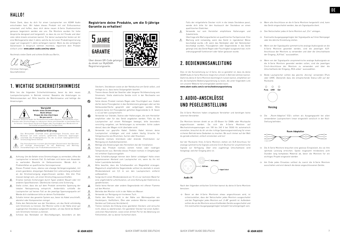Vielen Dank, dass du dich für einen Lautsprecher von ADAM Audio entschieden hast. Wir haben dieses Produkt mit viel Enthusiasmus entwickelt und hoffen, dass dich deine neuen A-Serie Studiomonitore genauso begeistern werden wie uns. Die Monitore wurden für hohe Ansprüche designed und hergestellt, so dass du sie mit Freude und über viele Jahre kreativ einsetzen kannst. Für deine Lautsprecher bieten wir dir eine Werksgarantie über 2 Jahre, welche du mit einer Produktregistrierung sogar auf insgesamt 5 Jahre verlängern kannst. Wenn du die verlängerte Garantiezeit in Anspruch nehmen möchtest, registriere dein Produkt einfach unter: **www.adam-audio.com/my-adam**

Nochmals vielen Dank und schöne Grüße aus Berlin,



Geschäftsführer

#### 1. WICHTIGE SICHERHEITSHINWEISE

Bitte lies die folgenden Sicherheitshinweise, bevor du dein neues Lautsprechersystem in Betrieb nimmst. Bewahre die Anleitungen zu Referenzzwecken auf. Bitte beachte die Warnhinweise und befolge die Anweisungen.



- Dieses Produkt muss, ebenso wie etwaige Verlängerungskabel, mit einem geerdeten, dreipoligen Netzkabel [im Lieferumfang enthalten] an die Stromversorgung angeschlossen werden. Alle drei Pole müssen belegt sein, um einen Stromschlag auszuschließen.
- Ersetze niemals Sicherungen durch Typen anderer Bauart oder mit - 45 anderen Spezifikationen. Überbrücke niemals eine Sicherung.
- Stelle sicher, dass die auf dem Produkt vermerkte Spannung der A lokalen Netzspannung entspricht. Andernfalls schließe die Lautsprecher auf keinen Fall an die jeweilige Spannungsquelle an! Wende dich stattdessen bitte an deinen Fachhändler.
- Schalte immer das gesamte System aus, bevor du Kabel anschließt, 一八 abziehst oder Komponenten reinigst.
- Ziehe den Netzstecker aus der Steckdose, um das Gerät vollständig vom Stromnetz zu trennen. Der Monitor sollte in der Nähe einer gut zugänglichen Steckdose aufgestellt werden, um das Gerät bei Bedarf vom Stromnetz trennen zu können.
- $\Lambda$  Schütze das Netzkabel vor Beschädigungen, besonders an den

#### **Registriere deine Produkte, um die 5-jährige Garantie zu erhalten!**



Steckern, Steckdosen sowie an der Netzbuchse am Gerät selbst, und verlege es so, dass keine Stolpergefahr besteht.

- 不 Trenne dieses Gerät bei Gewitter oder längerer Nichtbenutzung vom Stromnetz. Stelle elektrische Geräte nicht in der Reichweite von Kindern auf.
- Setze dieses Produkt niemals Regen oder Feuchtigkeit aus. Zudem  $\infty$ dürfen keine Flüssigkeiten in das Geräteinnere gelangen oder auf die Gehäuseoberfläche gesprüht oder aufgetragen werden. Bitte platziere keine mit Flüssigkeiten gefüllten Gegenstände [z. B. Vasen o. ä.] auf den Lautsprechern.
- $^{\circledR}$ Verwende nur Ständer, Stative oder Halterungen, die vom Hersteller empfohlen oder für das Gerät angeboten werden. Falls du die Lautsprecher auf einem Rollwagen bewegst, bitte besonders vorsichtig vorgehen, um Verletzungen zu vermeiden. Achte zudem darauf, dass der Wagen nicht überladen wird.
- $\Delta$ Verwende nur geprüfte Kabel. Defekte Kabel können deine Lautsprecher schädigen und sind zudem häufig Ursache für Störgeräusche wie Brummen, Surren oder Knacksen.
- Verwende niemals brennbare oder ätzende Chemikalien zur Reinigung von Audiokomponenten.
- Befolge alle Anweisungen des Herstellers bei der Installation. A
- Setze das Produkt niemals extrem hohen oder niedrigen  $\wedge$ Temperaturen aus. Betreibe dieses Produkt niemals in Umgebungen mit erhöhter Explosionsgefahr.
- 不 Hohe Schalldruckpegel können dein Gehör schädigen! Halte einen angemessenen Abstand zum Lautsprecher ein, wenn du ihn mit hoher Lautstärke betreibst.
- Bitte beachte, dass die Schallwandler ein Magnetfeld erzeugen. Magnetisch empfindliche Gegenstände solltest du deshalb in einem Mindestabstand von 0,5 m von den Lautsprechern entfernt aufbewahren.
- Sorge durch einen Mindestabstand von 10 cm zur nächsten Wand für  $\Lambda$ eine ungehinderte Luftzirkulation, um eine Kühlung der Elektronik zu gewährleisten.
- Stelle keine Kerzen oder andere Gegenstände mit offener Flamme auf den Monitor.
- A. Betreibe den Monitor nicht in der Nähe von Wasser.
- Verwende zur Reinigung ein trockenes Tuch. A
- Stelle den Monitor nicht in der Nähe von Wärmequellen wie 不 Heizkörpern, Heißlüftern, Öfen oder anderen Wärme erzeugenden Geräten auf [inklusive Verstärkern].
- A. Trenne niemals die Erdung eines geerdeten Steckers und versuche nicht, diese zu überbrücken. Ein geerdeter Stecker hat einen Außenund einen Neutralleiter, sowie einen dritten Pol für die Ableitung von Fehlströmen, der zu deiner Sicherheit dient.

Falls der mitgelieferte Stecker nicht in die lokale Steckdose passt, wende dich bitte für den Austausch der Steckdose an einen qualifizierten Elektriker.

- $\Lambda$ Verwende nur vom Hersteller empfohlene Halterungen und Zubehörteile.
- Übertrage alle Wartungsarbeiten an qualifiziertes Fachpersonal. Eine Wartung wird notwendig, wenn das Gerät in irgendeiner Weise beschädigt wurde, z.B. wenn das Netzkabel oder der Netzstecker beschädigt wurden, Flüssigkeiten oder Gegenstände in das Gerät gelangt sind, das Gerät Regen oder Feuchtigkeit ausgesetzt war, nicht ordnungsgemäß funktioniert oder fallen gelassen wurde.

#### 2. BEDIENUNGSANLEITUNG

Dies ist die Kurzanleitung zur A-Serie, die so gestaltet ist, dass du deine ADAM Audio A-Serie Monitore möglichst schnell in Betrieb nehmen kannst. Damit du deine A-Serie Monitore bestmöglich nutzen kannst, empfehlen wir dir, die komplette Bedienungsanleitung zu lesen, die unter folgendem Link von unserer Website heruntergeladen werden kann:

**www.adam-audio.com/a-series/bedienungsanleitung**

### 3. AUDIO-ANSCHLÜSSE UND PEGELEINSTELLUNG

Die A-Serie Monitore haben eingebaute Verstärker und benötigen keine externen Verstärker.

Die Monitore können direkt an an I/O-Boxen für DAWs oder Mischpulte angeschlossen werden. Da sich die A-Serie Monitore auf Wechselstromspannungen von 100 bis 240 V bei 50/60 Hz automatisch einstellen, brauchst du dir um die richtige Spannungseinstellung für einen sicheren Betrieb keine Gedanken zu machen. Wo auch immer auf der Welt du gerade arbeitest, einfach einstecken und los!

Auf der Rückseite Ihres A-Serie Monitors stehen ein XLR-Anschluss für analoge symmetrische Signale und eine Cinch-Buchse für unsymmetrische Signale zur Verfügung. Über eine zugehörige Umschalttaste wird festgelegt, welcher Eingang aktiv ist.



Audio IN

Nach den folgenden einfachen Schritten kannst du deine A-Serie Monitore benutzen:

→ Bevor an den A-Serie Monitoren etwas angeschlossen wird, ist sicherzustellen, dass der Netzschalter jedes Monitors ausgeschaltet und der Pegelregler jedes Monitors auf "0 dB" gestellt ist. Außerdem sollten die an die Monitore anzuschließenden Geräte ausgeschaltet und ihre eventuellen Ausgangspegelregler komplett heruntergeregelt sein.

- → Wenn alle Anschlüsse an die A-Serie Monitore hergestellt sind, kann das Gerät eingeschaltet werden, das als Signalquelle dient.
- → Den Netzschalter jedes A-Serie Monitors auf "Ein" umlegen.
- → Eventuelle Ausgangspegelregler der Signalquelle auf ihren Nennpegel oder die übliche Einstellung stellen.
- → Wenn von der Signalquelle symmetrische analoge Audiosignale an die A-Serie Monitore gesendet werden, sind die jeweiligen XLR-Anschlüsse der Monitore zu verwenden und über die Umschalttaste der Eingang "XLR bal." auszuwählen.
- → Wenn von der Signalquelle unsymmetrische analoge Audiosignale an die A-Serie Monitore gesendet werden sollen, sind die jeweiligen Cinch-Anschlüsse der Monitore zu verwenden und über die Umschalttaste der Eingang "RCA unbal." auszuwählen.
- → Beide Lautsprecher sollten das gleiche "Voicing" verwenden [Pure oder UNR]. Überprüfe dazu die entsprechende Status-LED auf der Rückseite.



Voicino

→ Die "Room-Adaption"-EQ's sollten als Ausgangspunkt bei allen verwendeten Lautsprechern linear eingestellt sein/sich in der Null-Stellung befinden.



- → Die A-Serie Monitore brauchen eine gewisse Einspielzeit, bis sie ihre optimale Leistung erreichen. Spiele insgesamt mindestens acht Stunden lang komplexes Material ab, bevor die Monitore für ein wichtiges Projekt eingesetzt werden
- → Am Ende jedes Einsatzes solltest du zuerst die A-Serie Monitore ausschalten und erst danach die daran angeschlossenen Geräte.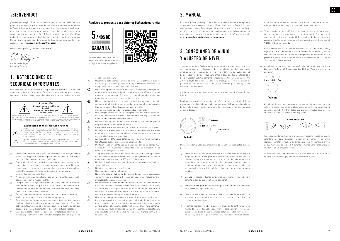### *iRIENVENIDO!*

¡Gracias por elegir ADAM Audio! Hemos puesto mucha pasión en este producto y esperamos que disfrute de sus nuevos monitores de estudio de la Serie A. Fueron diseñados y fabricados bajo los más altos estándares para que pueda disfrutarlos y usarlos para dar rienda suelta a su creatividad durante muchos años. A fin de proteger su inversión, ADAM Audio ofrece una garantía de dos años que se puede extender a cinco años. Para activar esta extension de la garantía, todo lo que tiene que hacer es registrarse en: **www.adam-audio.com/my-adam**

Una vez más gracias y saludos desde Berlín.

Christian Hellinger, Managing Director

### 1. INSTRUCCIONES DE SEGURIDAD IMPORTANTES

Por favor lea las instrucciones de seguridad que vienen a continuación antes de configurar su sistema. Guarde las instrucciones para futuras consultas. Por favor haga caso de las advertencias y siga las instrucciones.



- ben acabar con un cable de corriente para conexión a toma AC de tres conductores con toma de tierra como el que se suministra con el pro-
- ducto. Para prevenir el riesgo de descarga, deberán usarse siempre los tres componentes. Â No sustituya nunca ningún fusible con un valor distinto a los especifi-
- cados. Nunca omita ningún fusible.
- A Compruebe si el voltaje especificado se corresponde co n el voltaje del suministro eléctrico que utiliza. Si no fuera así no conecte los altavoces a una fuente de alimentación! Por favor, contacte con su vendedor local o distribuidor nacional.
- Desenchufe siempre todo su sistema antes de conectar o desconectar 一八 algún cable, o cuando limpie cualquier componente.
- Para desconectar completamente este equipo de la red, desconecte el enchufe del cable de alimentación de la toma de corriente. El monitor debería instalarse cerca de la toma de corriente y debería de ser fácil acceder a la toma y desconectar el dispositivo si fuera necesario.
- Evite que el cable de corriente pueda quedar aplastado, retorcido o ser 一个 pisado, especialmente en los enchufes, receptáculos y en el punto en







donde salen del aparato.

- Desenchufe este aparato durante las tormentas eléctricas o cuando Â. no lo use por un largo periodo de tiempo. Mantenga siempre todo equipo eléctrico fuera del alcance de los niños.  $\circledcirc$ 
	- No deje este producto expuesto a la lluvia o humedades, no moje nunca el interior con ningún liquido y nunca deje caer líquidos directamente sobre esta unidad. Por favor no ponga ningún objeto que contenga líquido [e.g. jarrones, etc.] sobre el altavoz.
- ® Utilice esta unidad solo con soportes, trípodes o sujeciones especificados por el fabricante o que se vendan junto con el propio aparato. Cuando transporte los altavoces con una carretilla, evite daños; tenga cuidado y no desequilibre la carretilla.
- ЛN. Use siempre cables plenamente comprobados. Los cables defectuosos pueden dañar sus altavoces. Son una fuente común para cualquier tipo de ruido, zumbido, chisporroteo etc.
- No use nunca agentes químicos inflamables o combustibles para la limpieza de los componentes de audio. 木
	- Instale este aparato de acuerdo con las instrucciones del fabricante. No deje nunca este producto expuesto a temperaturas extrema-
- A damente altas o bajas. No maneje nunca este producto en un entorno susceptible de producir explosiones. ¡Un nivel alto de SPL puede dañar su oído! Por favor no se acerque a
- 木 los altavoces cuando los use con un volumen alto. Â.
	- Por favor, tenga en cuenta que los diafragmas emiten un campo magnético. Por favor mantenga los productos sensibles al magnetismo al menos a 0.5 m lejos del altavoz.
- A. Asegúrese de dejar un flujo de aire sin obstáculos en la parte posterior de los altavoces para guardar la suficiente refrigeración manteniendo una distancia de al menos de 100 mm [4″] de la pared.
- No deberían colocarse fuentes de llama viva, como velas encendidas, sobre el altavoz.
- A. No utilice este aparato cerca del agua.
- Use un paño seco para la limpieza.
- A No instale esta unidad cerca de fuentes de calor como radiadores, ventiladores de aire caliente, hornos u otros aparatos [incluyendo amplificadores] que produzcan calor.
- A No desconecte el cable de toma de tierra en un enchufe con toma de tierra. Un enchufe con toma de tierra tiene clavijas activas y neutrales, así como una tercera para la toma de tierra que se incluye para su seguridad. Si el enchufe suministrado no encaja en su toma corriente, consulte a un electricista para sustituir la toma.
- Use sólo acoplamientos/accesorios especificados por el fabricante.
- 不 Remita todo servicio a personal técnico cualificado. Es necesario reparar el aparato cuando haya sufrido algún tipo de daño, como cuando se haya dañado el enchufe o cable de alimentación, se haya derramado líquido o se hayan introducido objetos en el aparato, el aparato haya sido expuesto a lluvia o humedad, no funcione de manera normal o se le haya caído.

#### 2. MANUAL

Esta es la guía de inicio rápido de la Serie A, que está diseñada para ponerle al día con sus nuevos monitores ADAM Audio de la Serie A lo más rápidamente posible. Para obtener el máximo provecho de sus monitores de la Serie A, le recomendamos que lea el manual de usuario completo, que está disponible para su descarga desde nuestro sitio Web haciendo clic aquí: **www.adam-audio.com/a-series/manual**

#### 3. CONEXIONES DE AUDIO Y AJUSTES DE NIVEL

Sus monitores de la Serie A no necesitan amplificación externa, gracias a sus amplificadores integrados. Los monitores pueden conectarse directamente a consolas de mezcla y a interfaces de audio con I/O balanceadas y no balanceadas para DAWs. Y dado que los monitores de la Serie A aceptan automáticamente voltajes de red CA en un rango de 100 a 240 V, a 50/60 Hz, usted no tiene que preocuparse por la selección de posición de ningún interruptor de voltaje correcto para una operación segura de los monitores.

¡No importa en qué parte del mundo esté trabajando usted, sólo conéctelos y listo!

En el panel posterior de su monitor de la Serie A, hay una entrada XLR que acepta audio analógico balanceado y una entrada RCA que acepta audio no balanceado. Utilice el botón que le permite seleccionar la fuente de entrada de audio deseada.



Audio IN

Para comenzar a usar sus monitores de la Serie A, siga estos simples pasos:

- → Antes de realizar cualquier conexión a sus monitores de la Serie A, asegúrese que el interruptor de alimentación para cada monitor está desconectado y que el mando de control de nivel de cada monitor esté ajustado a su configuración "0 dB". Asegure además, que el equipamiento que conectará a sus monitores está desconectado y que sus controles de nivel de salida, si los hay, estén completamente bajados.
- $\rightarrow$  Una vez realizadas todas las conexiones a sus monitores de la Serie A conecte el equipo que los alimenta con señal.
- → Ponga el interruptor de alimentación para cada uno de sus monitores de la Serie A a la posición "On".
- → Ajuste los controles de nivel de salida, si los hay, en el equipo que alimenta a sus monitores a su nivel nominal o al nivel que normalmente los ajuste.
- → Mientras reproduce audio, ajuste con precisión la configuración del mando de control de nivel en cada monitor para obtener el volumen de audición que desea. Si sus monitores están colocados correctamente en su sala, los ajustes para los mandos de control de nivel en ambos

monitores deberían ser los mismos con el fin de conseguir el mismo volumen de reproducción y una imagen estéreo balanceada.

- → Si va a enviar audio analógico balanceado de desde su mezclador, interfaz de audio u otro equipo a sus monitores de la Serie A, use el conector de entrada de audio XLR respectivo de los monitores y presione el botón de selección de entrada sucesivamente hasta que el "XLR bal." LED se encienda.
- → Si va a enviar audio analógico no balanceado de desde su mezclador, caja de E / S u otro equipo a sus monitores de la Serie A, use el conector de entrada de audio RCA respectivo de los monitores y .<br>Presione el botón de selección de entrada sucesivamente hasta que el "RCA unbal." LED se encienda.
- → Asegúrese de que sus altavoces estén ejecutando el mismo Voicing bien sea PURE o UNR revisando los LED de Voicing en la placa posterior.



#### Voicina

→ Asegúrese de que los ecualizadores de adaptación de respuesta a la sala en la parte superior de la placa posterior estén configurados a la ganancia unidad / 0 dB en todos los altavoces involucrados que se encuentren en la sala como punto de partida.



- $\rightarrow$  Todos los monitores de audio profesionales requieren cierto tiempo de calentamiento para alcanzar su rendimiento óptimo. Por favor, reproduzca material musical de amplio espectro frecuencial a través de sus monitores de la Serie A durante al menos ocho horas antes de utilizarlos en un proyecto crítico.
- → Al final de cada sesión, desconecte sus monitores de la Serie A antes de apagar cualquier equipo que esté conectado a ellos.

ES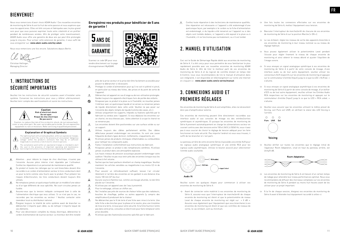#### **BIFNVFNIIF!**

Nous vous remercions d'avoir choisi ADAM Audio ! Ces nouvelles enceintes de monitoring de Série A sont le fruit de notre passion et nous espérons que vous les apprécierez. Elles ont été conçues et fabriquées avec le plus grand soin pour que vous puissiez exprimer toute votre créativité et en profiter pendant de nombreuses années. Afin de protéger votre investissement ADAM Audio vous offre une garantie de deux ans qui peut être prolongée jusqu'à cinq ans. Pour activer cette extension de garantie, il vous suffit de vous enregistrer sur: **www.adam-audio.com/my-adam**

Nous vous remercions une fois encore. Salutations depuis Berlin.



Christian Hellinger Managing Director

### 1. INSTRUCTIONS DE SÉCURITÉ IMPORTANTES

Veuillez lire les instructions de sécurité suivantes avant d'installer votre système. Conservez les instructions pour vous y référer ultérieurement. Veuillez tenir compte des avertissements et suivre les instructions.



is intended to alert the user to the presence of uninsulated "dangerous voltage" within the product's enclosure that may be of sufficient magnitude to constitute a risk of electric shock to persons. The exclamation point within an equilateral triangle is intended to aler t

the user to the presence of important operating and maintenance [servicing] instructions in the literature accompanying the appliance.

- Attention : pour réduire le risque de choc électrique, n'ouvrez pas l'enceinte. Aucune pièce interne n'est réparable par l'utilisateur. Confiez les réparations à un personnel de maintenance qualifié.
- Ce produit et toutes les rallonges qui lui sont branchées doivent être raccordés à un cordon d'alimentation secteur à trois conducteurs dont un pour la terre comme celui fourni avec le produit. Pour prévenir les risques d'électrocution, les trois conducteurs doivent toujours être utilisés.
- $\hat{\mathbb{A}}$  Ne remplacez jamais un quelconque fusible par un modèle d'une valeur ou d'un type différents de ceux spécifiés. Ne court-circuitez jamais un fusible.
- Assurez-vous que la tension indiquée correspond bien à celle de 一个 l'alimentation électrique que vous utilisez. Si ce n'est pas le cas, ne raccordez pas les enceintes au secteur ! Veuillez contacter votre revendeur local ou distributeur national.
- Éteignez toujours la totalité de votre système avant de brancher ou débrancher n'importe quel câble, ou de nettoyer n'importe lequel de ses éléments.
- Pour une déconnexion complète du réseau électrique, débranchez le - A cordon d'alimentation de la prise secteur. Le moniteur doit être installé

**Enregistrez vos produits pour bénéficier de 5 ans de garantie !**



rendre directement sur la page d'enregistrement MyADAM:

**GARANTIF** 

près de la prise secteur et la prise doit être facilement accessible pour pouvoir le débrancher si nécessaire.

- Protégez le cordon d'alimentation pour qu'il ne soit ni piétiné ni pincé, en particulier au niveau des fiches, des prises et du point de sortie de l'appareil.  $\mathbb{A}$ 
	- Débranchez cet appareil en cas d'orage ou de non-utilisation prolongée. Gardez toujours les appareils électriques hors de portée des enfants.
- ര N'exposez pas ce produit à la pluie ou à l'humidité, ne mouillez jamais l'intérieur avec un quelconque liquide et ne versez ou renversez jamais de liquide directement dans cette unité. Veuillez ne pas poser sur l'enceinte des objets remplis de liquide [comme des vases, etc.].
- ത Utilisez uniquement les supports, trépieds ou fixations spécifiés par le fabricant ou vendus avec l'appareil. Si vous déplacez les enceintes sur un chariot, ne vous blessez pas ; faites attention à ce que le chariot ne se renverse pas.
- 不 Les enceintes doivent être positionnées sur une surface solide ou sur un support.
- ⚠ Utilisez toujours des câbles parfaitement vérifiés. Des câbles défectueux peuvent endommager vos enceintes. Ils sont une cause fréquente de divers types de bruit, ronflements, craquements, etc.
- N'utilisez jamais de produits chimiques inflammables ou combustibles pour nettoyer les composants audio.
- Faites l'installation conformément aux instructions du fabricant. Â N'exposez jamais ce produit à des températures extrêmes. N'utilisez Â
- jamais ce produit dans une atmosphère explosive.
- $\Lambda$ Les hauts niveaux de pression acoustique peuvent endommager votre audition ! Veuillez ne pas vous tenir près des enceintes lorsque vous les utilisez à fort volume.
- Sachez que les haut-parleurs émettent un champ magnétique. Veuillez maintenir les articles sensibles au magnétisme à au moins 0,5 m de l'enceinte.
- Â. Pour assurer un refroidissement suffisant, laissez l'air circuler librement à l'arrière des enceintes en les gardant à une distance d'au moins 100 mm [4″] du mur.
- Aucune source à flamme nue, comme une bougie allumée, ne doit être placée sur l'enceinte.
- $\mathcal{A}$ N'utilisez pas cet appareil avec de l'eau à proximité.
- Pour le nettoyage, utilisez un chiffon sec.
- Ne l'installez pas près de sources de chaleur telles que des radiateurs, Â bouches de chauffage, poêles ou autres appareils [y compris des amplificateurs] produisant de la chaleur.
- 不 Ne débranchez pas le fil de terre d'une fiche avec mise à la terre. Une telle fiche a des broches pour la phase et le neutre, plus une troisième de mise à la terre, incluse pour votre sécurité. Si la fiche fournie n'entre pas dans votre prise, consultez un électricien pour faire remplacer votre prise obsolète.
- Α. N'utilisez que des fixations/accessoires spécifiés par le fabricant.

Confiez toute réparation à des techniciens de maintenance qualifiés. 不 Une réparation est nécessaire si l'appareil a été endommagé d'une quelconque façon, par exemple si le cordon ou la fiche d'alimentation est endommagé, si du liquide a été renversé sur l'appareil ou si des objets sont tombés dedans, si l'appareil a été exposé à la pluie ou à l'humidité, s'il ne fonctionne pas normalement, ou s'il est tombé.

#### 2. MANUEL D'UTILISATION

Ceci est le Guide de Démarrage Rapide dédié aux enceintes de monitoring de Série A. Il a été conçu pour vous permettre de vous familiariser le plus rapidement possible avec vos nouvelles enceintes de monitoring ADAM Audio de Série A. Afin de tirer le meilleur parti de vos enceintes de monitoring de Série A et du logiciel de contrôle distant en temps réel A Control, nous vous recommandons de lire le manuel d'utilisation dans son intégralité, il est disponible en téléchargement sur notre site Internet en cliquant ici : **www.adam-audio.com/a-series/manual**

#### 3. CONNEXIONS AUDIO ET PREMIERS RÉGLAGES

Vos enceintes de monitoring de Série A sont amplifiées, elles ne nécessitent donc pas d'amplificateur externe.

Ces enceintes de monitoring peuvent être directement raccordées aux interface audio et aux consoles de mixage via des entrées/sorties symétriques et asymétriques. Et puisque les enceintes de monitoring de Série A prennent automatiquement en charge les alimentations secteur en courant continu avec des tensions entre 100 et 240 V, à 50/60 Hz, vous n'avez pas à vous soucier de choisir le réglage de tension adéquat pour les faire fonctionner en toute sécurité. Peu importe l'endroit où vous vous trouvez, il suffit de les brancher et c'est parti.

Le panneau arrière de votre enceinte Séries A possède une entrée XLR pour les signaux audio analogique symétrique et une entrée RCA pour les signaux audio asymétriques. Utilisez le bouton associé pour sélectionner l'entrée audio souhaitée.



Audio IN

Veuillez suivre ces quelques étapes pour commencer à utiliser vos enceintes de monitoring de Série A :

→ Avant de connecter votre matériel à vos enceintes de monitoring de Série A, assurez-vous que l'interrupteur de marche/arrêt de chaque enceinte de monitoring est éteint et que le potentiomètre de niveau Level de chaque enceinte de monitoring est réglé sur « 0 dB ». Assurez-vous également que l'équipement que vous brancherez à vos enceintes de monitoring est éteint et que ses contrôles de niveaux de sortie, le cas échéant, sont au minimum.

- → Une fois toutes les connexions effectuées sur vos enceintes de monitoring de Série A, mettez l'équipement sous tension.
- → Basculez l'interrupteur de marche/arrêt de chacune de vos enceintes de monitoring de Série A sur la position Marche [« ON »].
- → Le cas échéant, réglez les niveaux de sortie des appareils branchés à vos enceintes de monitoring à leur niveau nominal ou au niveau de réglage habituel.
- → Vous pouvez également utiliser le potentiomètre Level pendant l'écoute pour régler finement le niveau de chaque enceinte de monitoring et ainsi obtenir le niveau désiré et ajuster l'équilibre de l'image sonore.
- → Si vous envoyez un signal analogique symétrique à vos enceintes de monitoring de Série A à partir de votre console de mixage, d'une interface audio ou de tout autre équipement, veuillez utiliser les connecteurs XLR respectifs sur les enceintes de monitoring et appuyez sur le commutateur d'entrée [Input] jusqu'à ce que la LED « XLR bal. » s'allume.
- → Si vous envoyez un signal analogique asymétrique à vos enceintes de monitoring de Série A à partir de votre console de mixage, d'un boîtier d'E/S ou de tout autre équipement, veuillez utiliser les Entrées Audio RCA respectives sur les enceintes de monitoring et appuyez sur le commutateur d'entrée [Input] jusqu'à ce que la LED « RCA unbal. » s'allume.
- → Veuillez vous assurer que les enceintes utilisent le même preset de Voicing, soit Pure soit UNR, en vérifiant le statut des LED Voicing à l'arrière.



- Voicing
- → Veuillez vérifier sur toutes les enceintes que le réglage initial de l'égaliseur Room Adaptation, situé en haut du panneau arrière, est Unity/0 dB.



- → Les enceintes de monitoring de Série A ont besoin d'un certain temps de rodage pour atteindre leur niveau performances optimal. Nous vous recommandons de diffuser des morceaux complexes sur vos enceintes de monitoring de Série A pendant au moins huit heures avant de les utiliser pour un projet important.
- → À la fin de chaque session, éteignez vos enceintes de monitoring de Série A avant d'éteindre tout équipement raccordé à celles-ci.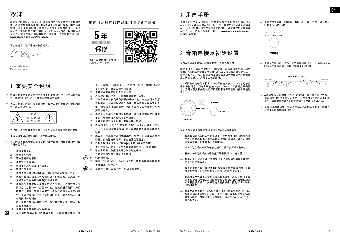## 欢迎 欢迎

#### 感谢您选择ADAM Audio ! 我们在这款产品上倾注了大量的热 情,希望您能喜欢最新推出的A系列录音室监听音箱。本产品遵 循高设计和高制造标准,供您个人享受以及创作使用,历久弥 新。为了给您的投入做好保障,ADAM Audio将两年保修期延长 至五年。为实现您的延长保修期,您需要在官网网址进行注册: **www.adam-audio.com/my-adam**

再次感谢您,致以来自柏林的问候。

Christian Hellinger Managing Director

### 1. 重要安全说明

- 等边三角形内带箭头的闪电符号是用来提醒用户,该产品外壳存 在不绝缘"危险电压",可能对人构成触电危险。
- 等边三角形内的感叹号是提醒用户该设备中附带重要的操作和维 修(服务)说明书。



- 为了降低火灾或电击的危险,切勿把设备暴露在雨中或潮湿处
- 不要在设备上放置明火源,如点燃的蜡烛。
- 为了降低火灾或电击的危险,请勿打开音箱,内部不含用户可自 行维修的零件。
	- 1. 请阅读本说明。
	- 2. 请保存本说明。
	- 3. 请注意所有的警告。
	- 4. 请遵守使用说明。
	- 5. 请勿在水源附近使用本设备。
	- 6. 请用干布清洁。
- 7. 请勿堵塞金属背板的通风。请按照制造商的指示安装。
- 8. 请勿将音箱安装在任何热源附近,如散热器、加热器、炉 具或其他产生热量的装置[包括放大器]。
- 9. 请勿忽视极性或接地型插头的安全用途。一个极性插头有 两个刀片,其中一个比另一个宽。接地式插头有两个刀片 和第三个接地。宽刀片或第三个接地的使用是为了您的安 全。如果所提供的插头不适合您的插座,请咨询电工,及 时更换过时的插座。
- 10. 防止电源线被踩到或被夹住,特别是在插头处,插座,以 及设备接线处。
- 11. 只使用制造商指定的附件/配件。
- 12. 仅使用由制造商指定的或与设备一起出售的手推车、支

在官网注册您的产品即可享受5年保修!



- 架、三脚架、托架或桌子。当使用推车时,移动推车/设 备时请小心,避免因翻车而受伤。
- 13. 音箱应放置在坚固的表面或支架上。
- 14. 若长段时间未使用,在雷雨期间请断开设备。
- 15. 将所有维修工作交给有资质的维修人员。当设备因各种原 因损坏时,如电源线或插头损坏,液体溅洒或物体落入设 备,设备被雨淋湿或受潮,操作不正常,或掉落等,均需
- 要维修服务。 16. 要将此设备与交流电源完全断开,请从电源插座拔出电源 插头。电源线插头应保持易于操作。
- 17. 设备应连接到电源插座上带保护接地连接。
- 18. 检查指定电压是否与你使用电源电压相符。如果不是这 样,不要连接音箱到电源!请与当地经销商或全国经销商 联系。
- 19. 本设备不应暴露在滴水或溅水的环境中,任何装满液体的 物体,如花瓶或啤酒杯,不应放置在设备上。
- 20. 在设备周围保持至少10厘米[4"]足够的通风的距离;
- 21. 不应用报纸、桌布、窗帘等物品覆盖通气孔,阻碍通风;
- 22. 不应在设备上放置明火源,如点燃的蜡烛。
- 23. 设备应在适宜的气候条件下使用
- 24. 保护接地端。

MyADAM 注册页面:

5 缶

保修

- 25. 警告:"为减少起火或触电的危险,请勿将装置暴露在雨 中或潮湿环境中。"
- (44) 26. 仅适用于海拔2000米以下地区安全使用。

### 2. 用户手册

这是A系列快速入门指南,为帮助您尽快使用您新买的ADAM Audio A系列监听音箱而专门设计。为了使您的A系列监听音箱和 A Control实时远程软件发挥最大的作用,我们建议您完整阅读 此用户手册,内容可从此处下载: **www.adam-audio.com/aseries/manual**

#### 3. 音箱连接及初始设置

您的A系列监听音箱已有内置功放,无需外接功放。

监听音箱可以通过平衡和非平衡I/O接口直接连接音频接口或调 音台。A系列监听音箱自动接受100 V至240 V的交流电源电压, 频率为50/60 Hz,因此您无需费心设置正确电压以确保安全使 用。无论在哪儿,只需插上电源即可。

在A系列监听音箱的背板上,带有平衡输入接口(XLR)可接受 在2002年前11月11日; 2002年,10月11日前公安口(2002年),按交<br>模拟平衡信号;还有非平衡输入接口(RCA)可接受非平衡信 号。您可以使用相关的状态切换按钮来选择您所需的输入端信号 源。



#### Audio IN

#### 您可以按照以下步骤来快速使用您的A系列监听音箱:

- → 在连接您的A系列监听音箱之前,请确保音箱的电源开关处 于关闭的状态且电平控制旋钮在 "0 dB" 的位置。此外关闭您 的音源设备并将输出电平调至最低。
- → 当A系列监听音箱所有连接完成后,请将音源设备打开。
- $\rightarrow$  将每个A系列监听音箱的电源开关翻转到 "on" 的位置。
- → 如果可以,请将音源设备的输出电平调节到标称电平或您平 常使用的常规设置。
- → 如有必要您可以在播放音频时微调每个监听音箱上的电平调 节旋钮设置,以达到您想要的监听电平和平衡成像。
- → 如果您要从调音台、音频接口或其他设备中发送平衡+4 dBu 的模拟音频信号至A系列监听音箱,请使用监听音箱相应的 XLR音频输入接口,并按下输入转换按钮,直到"XLR bal." LED灯亮起。
- → 如果您将从调音台、I/O盒或其他设备发送非平衡的-10 dBV 模拟音频到A系列监听音箱,请使用监听音箱相应的RCA音 频输入接口,并按下输入切换按钮,直到"RCA unbal." LED 灯亮起为止。

→ 请通过检查背板上的声学LED指示灯,确认您的一对音箱运 行的是Pure或UNR



Voicina

→ 请确保在使用前, 背板上部的调制均衡 (Room Adaptation) EQs)在所有音箱上均被设置为Unity/0 dB



- $\rightarrow$  A系列监听音箱需要"煲机"一段时间,达到最佳工作状态。 建议您使用各种不同音乐素材,至少播放8小时来完成此项 工作,为您后续使用A系列音箱制作高品质项目做准备。
- $\rightarrow$  在每次使用完成后 请先关闭您的A系列监听音箱 然后再 关闭相连的其他设备电源。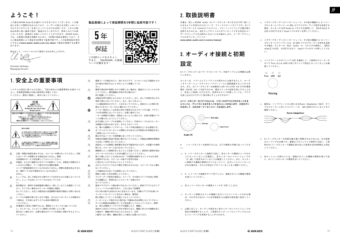## **ようこそ !**

この度はADAM Audioをお選びいただきありがとうございます。この製 品には多くの情熱が込められており、ユーザーの皆さまが新しいAシリー ズのスタジオモニターを気に入っていただければ幸いです。これらの製 品は非常に高い基準で設計・製造されていますので、長年にわたりお楽 しみいただき、創造的にお使いいただくことができます。ADAM Audio では、お客様の投資を保護するために、2年間の保証を提供しており、さ らに製品登録により保証を5年間まで延長可能です。この延長保証を有効 にするには**www.adam-audio.com/my-adam** で製品を登録する必要が あります。

改めまして、ベルリンからのご挨拶とお礼を申し上げます。

Christian Hellinger, Managing Director

### 1. **安全上の重要事項**

システムの設定に取りかかる前に、下記の安全上の重要事項をお読みくだ さい。本取扱説明書は今後の参照用に保管しておい てください。警告に留意し、指示に従ってください。





- 注意:感電の危険を減らすため、スピーカーを開けないでください。内部 にはユーザーが修理できる部品はありません。修理 は有資格のサービス担当者にしてもらってください。
- 本製品、ならびに接続されるすべての延長コードは、本製品に同梱されて A いるものと同様に、アース端子付きの3極AC電源 コードで終端処理されていなければなりません。感電の危険を防止するた め、3極すべてが必ず使用されていなければなり ません。
- ヒューズは、決して指定された値やタイプ以外のものに交換しないでくだ 本 さい。ヒューズは決してバイパスさせないでくださ い。
- 指定電圧が、使用する供給電源の電圧と一致していることを確認してくだ さい。そうでない場合はスピーカーを電源に接続し ないでください。お近くの販売店か全国展開の販売代理店にお問い合わせ ください。
- ケーブルの接続や取り外しを行う場合、またはコンポーネントの清掃を行  $\Lambda$ う場合は、その前に必ずシステム全体の電源を切 ってください。
- AC電源から完全に切断するには、電源をコンセントから抜いてくださ  $\mathcal{A}$ い。モニターは、コンセントに簡単に手が届くように電 源の近くに据え付け、必要な場合はデバイスを容易に切断できるようにし てください。

#### **製品登録によって保証期間を5年間に延長可能です!**



- Â. 電源コードが踏まれたり、特にそのプラグ、コンセントおよび器具からの 出口部分が挟まれることがないように保護してくだ さい。
- 雷雨の発生時や長期にわたり使用しない場合は、器具をコンセントから外  $\Lambda$ してください。電気機器は子供の手の届かない 所に配置してください。
- $\odot$ 本製品を雨や湿気にさらさないでください。また、決して内部を何らかの 液体で濡らさないでください。また、決して本ユニッ トに直接液体をかけたり、こぼさないでください。液体の入った物体 [花
- 瓶など] をスピーカーの上に置かないでください。 メーカー指定もしくは本体と併せて販売されるスタンドや三脚、ブラケッ ക
- ト以外は使用しないでください。台車に乗せてスピ ーカーを移動する際は、怪我をしないように気をつけ、台車の荷重のバラ ンスが偏らないようにしてください。
- 必ず点検したケーブルを使用してください。不良のケーブルはスピーカー  $\Lambda$ を損傷する恐れがあります。そのようなケーブル
- は、様々な種類のノイズやハム、パチパチ鳴る雑音のよくある原因です。 オーディオコンポーネントの掃除に引火性または可燃性の化学製品を決し
- て使用しないでください。 据え付けはメーカーの説明書に従って行ってください。
- 木 本製品を極度の高温や低温に晒さないでください。本製品は爆発性雰囲気 では決して使用しないでください。
- A 高音圧レベルは聴覚に悪影響を及ぼす可能性があります。大音量での使用 時には、スピーカーに近づかないでください。
- A. 振動板によって磁場が生じることにご注意ください。磁気的に敏感な物は スピーカーから少なくとも0.5m離すようにしてください。
- A. 壁との間に少なくとも100 mm [4″] の間隔を確保することで十分な冷却 を維持するため、スピーカーの後ろで空気が自由 に流れることができるようにしてください。
- 火のついたロウソクなどの裸火が使われるものは、スピーカーの上に置か ないでください。
- 一八 この器具は水の近くでは使用しないでください。
- Æ. 掃除には乾いた布を使用してください。
- ラジエーターや熱気の換気口、ストーブ、その他の [アンプを含む] 発熱 A. する装置など、熱源の近くにスピーカーを据え付け ないでください。
- A. 接地プラグのアース線は取り外さないでください。接地プラグにはライブ とニュートラルの端子があり、これに加えて設置用 の3つ目の端子も安全のために含まれています。付属のプラグがお使いの コンセントのソケットに合わない場合は、電気技 師に相談してソケットを交換してもらってください。
- メーカーによって指定された取付品/付属品以外は使用しないでください。 A., Â. すべての修理は有資格のサービス担当者にしてもらってください。修理
	- は、例えば電源コードやプラグが破損したり、機器に 液体がこぼれたりその上に何かが落ちたなど、機器に何らかの損傷が生じ た場合や、機器が雨や水分にさらされたり、正常 に動作しない場合、機器を落とした場合に必要となります。

## 2. **取扱説明書**

本書は、新しいADAM Audio Aシリーズモニターをできるだけ早く使いこ ・……、…。<br>なせるように作成されたAシリーズ・クイックスタートガイドです。Aシリ ーズモニターとA Controlリアルタイム・リモートソフトウェアを最大限に 活用するためには、当社ウェブサイトからダウンロードできる完全なユー ザーズマニュアルをお読みになることをお勧めします。ユーザーズマニュ アルのダウンロードリンク:

**www.adam-audio.com/a-series/manual**

## 3. **オーディオ接続と初期**

**設定**

Aシリーズモニターはパワードスピーカーで、外部アンプによる増幅を必要 としません。

モニターは、バランスとアンバランスの両方の入力端子を介して、オーデ ィオインターフェースやミキシングコンソールに直接接続することができ ます。また、Aシリーズモニターは自動的に100 Vから240 VまでのAC電源 電圧(50/60 Hz)に対応するため、電圧スイッチの設定を気にすることな く、安全にご使用いただけます。世界中のどこで作業していても、プラグ を差し込むだけですぐに音を鳴らすことができます!

Aシリーズモニターのリアパネルには、バランスのアナログ音声を入力する XLR入力と、アンバランス音声を入力するRCA入力があります。切替ボタン を使用して、目的のオーディオ入力ソースを選択します。



Audio IN

A シリーズモニターを使用するには、以下の簡単な手順に従ってくださ い。

- → A シリーズモニターに接続する前に、各モニターの電源スイッチがオ フになっていることを確認し、各モニターのレベルトリムノブが 「0 dB」に設定されていることを確認してください。また、モニター に接続する機器の電源がオフになっていて、出力レベルコントロール がある場合は、それらが完全に下がっていることをご確認ください。
- → A シリーズへの接続がすべて完了したら、接続されている機器の電源 を投入してください。
- → 各 A シリーズモニターの電源スイッチを "ON" にします。
- → モニターに接続されている機器に出力レベルコントロールがある場 合、それぞれの出力レベルを定格値または通常の設定値に設定してく ださい。
- → 必要に応じて、オーディオ再生中に各モニターのレベルトリムノブの 設定を微調整することで、ご希望のモニターレベルとバランスのとれ たイメージングを実現することができます。
- → ミキサーやオーディオインターフェース、その他の機器から A シリー ズモニターにバランス +4 dBu のアナログオーディオ信号を送信する 場合、モニターの XLR Audio In コネクタを使用して、【XLR bal.】の LED が点灯するまで Inputトグルボタンを押してください。
- → ミキサーやオーディオインターフェース、その他の機器から A シリー ズモニターにアンバランスの -10 dBV アナログオーディオ信号を送信 する場合、モニターの RCA Audio In コネクタを使用し、【RCA unbal.】のLED が点灯するまで Inputトグルボタンを押してくださ い。
- → バックプレートのボイシング LED を確認して、ご使用のスピーカーが すべて Pure または UNR の同じボイシング設定になっていることを確 認してください。



→ 最初は、バックプレートの上部にあるRoom Adaptation EQが、すべ てのスピーカーに対してユニティー/0 dBに設定されていることをご 確認ください。





- → Aシリーズモニターの性能を最大限に発揮させるためには、ある程度 のエージングが必要です。重要なプロジェクトで使用する前に、ご使 用のAシリーズモニターで複雑な音を含んだ音源を合計8時間以上再生 してください。
- → 各セッションの終わりには、接続されている機器の電源を落とす前 に、Aシリーズモニターの電源を切ってください。

JP